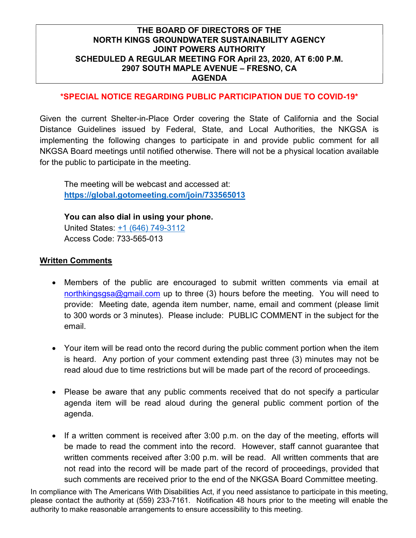### \*SPECIAL NOTICE REGARDING PUBLIC PARTICIPATION DUE TO COVID-19\*

Given the current Shelter-in-Place Order covering the State of California and the Social Distance Guidelines issued by Federal, State, and Local Authorities, the NKGSA is implementing the following changes to participate in and provide public comment for all NKGSA Board meetings until notified otherwise. There will not be a physical location available for the public to participate in the meeting.

The meeting will be webcast and accessed at: https://global.gotomeeting.com/join/733565013

You can also dial in using your phone. United States: +1 (646) 749-3112 Access Code: 733-565-013

#### Written Comments

- Members of the public are encouraged to submit written comments via email at northkingsgsa@gmail.com up to three (3) hours before the meeting. You will need to provide: Meeting date, agenda item number, name, email and comment (please limit to 300 words or 3 minutes). Please include: PUBLIC COMMENT in the subject for the email.
- Your item will be read onto the record during the public comment portion when the item is heard. Any portion of your comment extending past three (3) minutes may not be read aloud due to time restrictions but will be made part of the record of proceedings.
- Please be aware that any public comments received that do not specify a particular agenda item will be read aloud during the general public comment portion of the agenda.
- If a written comment is received after 3:00 p.m. on the day of the meeting, efforts will be made to read the comment into the record. However, staff cannot guarantee that written comments received after 3:00 p.m. will be read. All written comments that are not read into the record will be made part of the record of proceedings, provided that such comments are received prior to the end of the NKGSA Board Committee meeting.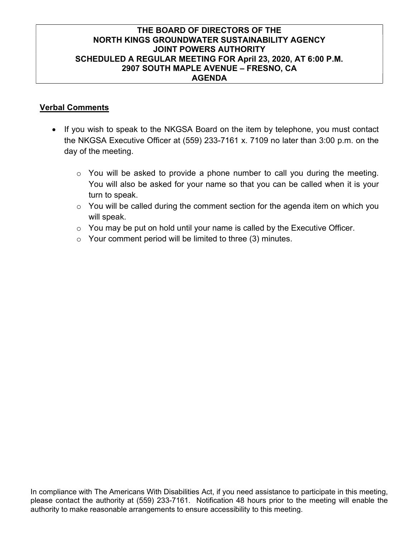### Verbal Comments

- If you wish to speak to the NKGSA Board on the item by telephone, you must contact the NKGSA Executive Officer at (559) 233-7161 x. 7109 no later than 3:00 p.m. on the day of the meeting.
	- $\circ$  You will be asked to provide a phone number to call you during the meeting. You will also be asked for your name so that you can be called when it is your turn to speak.
	- $\circ$  You will be called during the comment section for the agenda item on which you will speak.
	- $\circ$  You may be put on hold until your name is called by the Executive Officer.
	- $\circ$  Your comment period will be limited to three (3) minutes.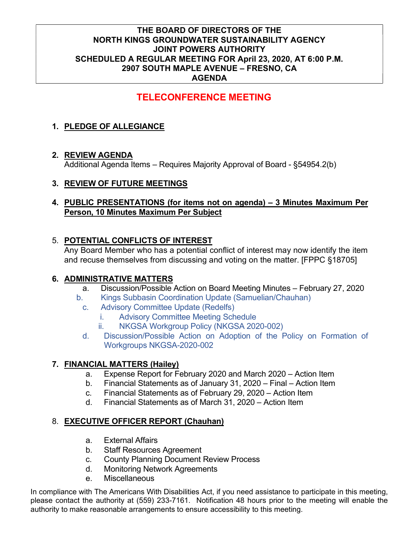# TELECONFERENCE MEETING

# 1. PLEDGE OF ALLEGIANCE

# 2. REVIEW AGENDA

Additional Agenda Items – Requires Majority Approval of Board - §54954.2(b)

# 3. REVIEW OF FUTURE MEETINGS

## 4. PUBLIC PRESENTATIONS (for items not on agenda) – 3 Minutes Maximum Per Person, 10 Minutes Maximum Per Subject

# 5. POTENTIAL CONFLICTS OF INTEREST

Any Board Member who has a potential conflict of interest may now identify the item and recuse themselves from discussing and voting on the matter. [FPPC §18705]

# 6. ADMINISTRATIVE MATTERS

- a. Discussion/Possible Action on Board Meeting Minutes February 27, 2020
- b. Kings Subbasin Coordination Update (Samuelian/Chauhan)
	- c. Advisory Committee Update (Redelfs)
		- i. Advisory Committee Meeting Schedule
		- ii. NKGSA Workgroup Policy (NKGSA 2020-002)
	- d. Discussion/Possible Action on Adoption of the Policy on Formation of Workgroups NKGSA-2020-002

# 7. FINANCIAL MATTERS (Hailey)

- a. Expense Report for February 2020 and March 2020 Action Item
- b. Financial Statements as of January 31, 2020 Final Action Item
- c. Financial Statements as of February 29, 2020 Action Item
- d. Financial Statements as of March 31, 2020 Action Item

# 8. EXECUTIVE OFFICER REPORT (Chauhan)

- a. External Affairs
- b. Staff Resources Agreement
- c. County Planning Document Review Process
- d. Monitoring Network Agreements
- e. Miscellaneous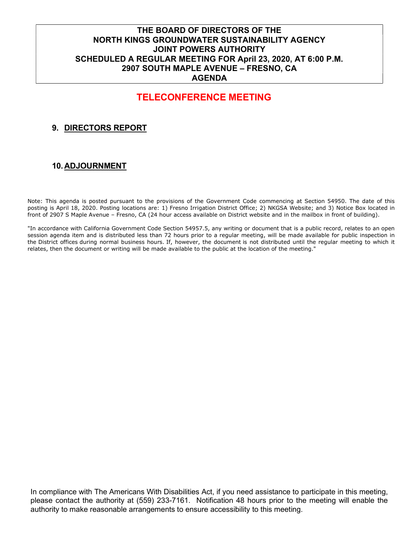# TELECONFERENCE MEETING

# 9. DIRECTORS REPORT

#### 10. ADJOURNMENT

Note: This agenda is posted pursuant to the provisions of the Government Code commencing at Section 54950. The date of this posting is April 18, 2020. Posting locations are: 1) Fresno Irrigation District Office; 2) NKGSA Website; and 3) Notice Box located in front of 2907 S Maple Avenue – Fresno, CA (24 hour access available on District website and in the mailbox in front of building).

"In accordance with California Government Code Section 54957.5, any writing or document that is a public record, relates to an open session agenda item and is distributed less than 72 hours prior to a regular meeting, will be made available for public inspection in the District offices during normal business hours. If, however, the document is not distributed until the regular meeting to which it relates, then the document or writing will be made available to the public at the location of the meeting."